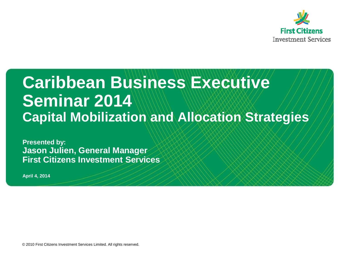

### **Caribbean Business Executive Seminar 2014 Capital Mobilization and Allocation Strategies**

**Presented by: Jason Julien, General Manager First Citizens Investment Services**

**April 4, 2014**

© 2010 First Citizens Investment Services Limited. All rights reserved.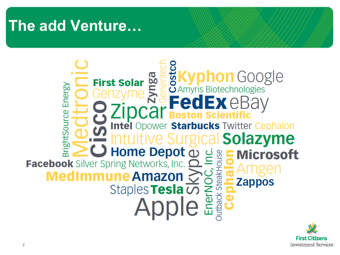### **The add Venture…**



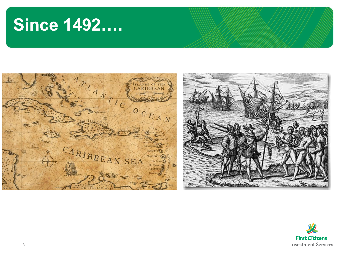### **Since 1492….**



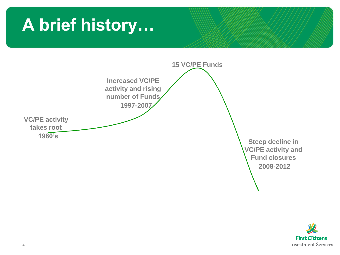## **A brief history…**



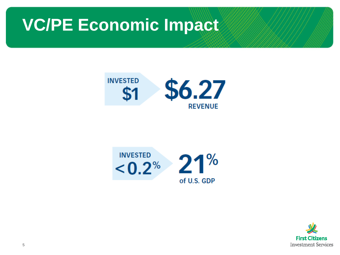



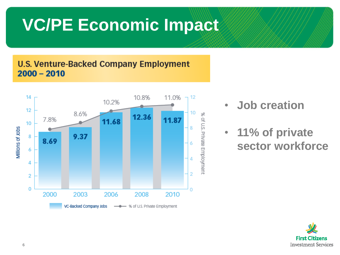### **U.S. Venture-Backed Company Employment**  $2000 - 2010$



- **Job creation**
- **11% of private sector workforce**

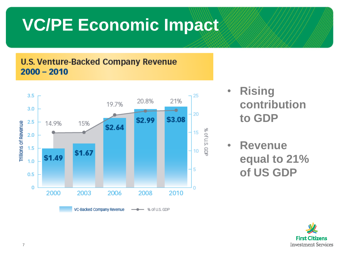### **U.S. Venture-Backed Company Revenue**  $2000 - 2010$



- **Rising contribution to GDP**
- **Revenue equal to 21% of US GDP**

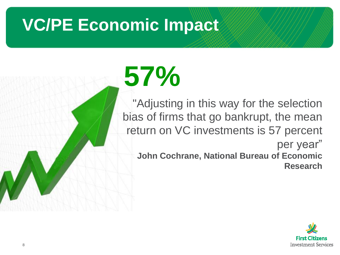# **57%**

"Adjusting in this way for the selection bias of firms that go bankrupt, the mean return on VC investments is 57 percent per year" **John Cochrane, National Bureau of Economic Research**

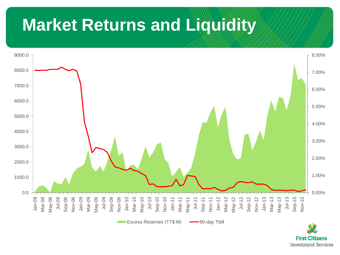### **Market Returns and Liquidity**



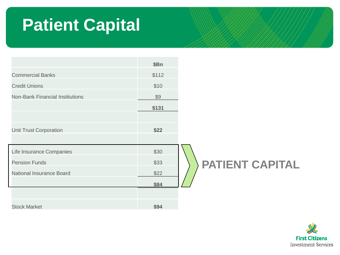### **Patient Capital**



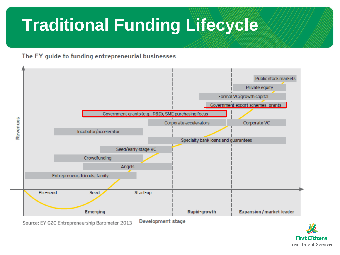# **Traditional Funding Lifecycle**

### The EY guide to funding entrepreneurial businesses



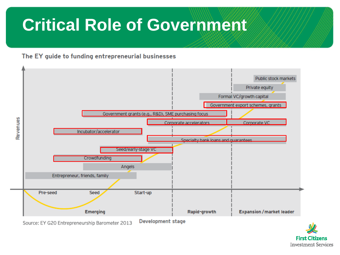### **Critical Role of Government**

#### The EY guide to funding entrepreneurial businesses



**First Citizens Investment Services**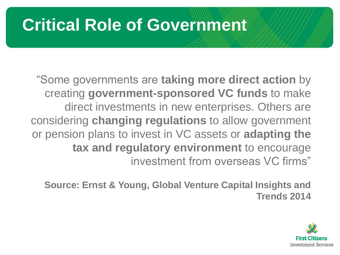### **Critical Role of Government**

"Some governments are **taking more direct action** by creating **government-sponsored VC funds** to make direct investments in new enterprises. Others are considering **changing regulations** to allow government or pension plans to invest in VC assets or **adapting the tax and regulatory environment** to encourage investment from overseas VC firms"

**Source: Ernst & Young, Global Venture Capital Insights and Trends 2014**

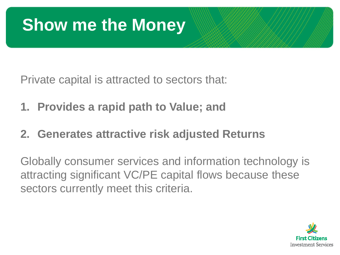### **Show me the Money**

Private capital is attracted to sectors that:

- **1. Provides a rapid path to Value; and**
- **2. Generates attractive risk adjusted Returns**

Globally consumer services and information technology is attracting significant VC/PE capital flows because these sectors currently meet this criteria.